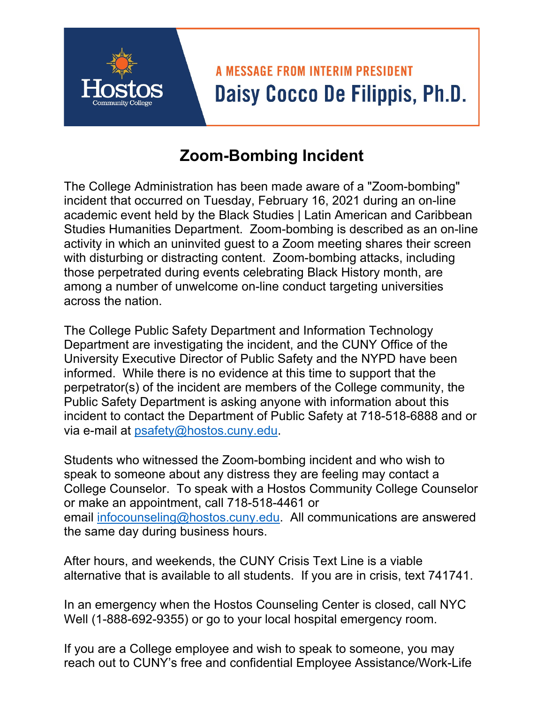## **A MESSAGE FROM INTERIM PRESIDENT** Daisy Cocco De Filippis, Ph.D.

## **Zoom-Bombing Incident**

The College Administration has been made aware of a "Zoom-bombing" incident that occurred on Tuesday, February 16, 2021 during an on-line academic event held by the Black Studies | Latin American and Caribbean Studies Humanities Department. Zoom-bombing is described as an on-line activity in which an uninvited guest to a Zoom meeting shares their screen with disturbing or distracting content. Zoom-bombing attacks, including those perpetrated during events celebrating Black History month, are among a number of unwelcome on-line conduct targeting universities across the nation.

The College Public Safety Department and Information Technology Department are investigating the incident, and the CUNY Office of the University Executive Director of Public Safety and the NYPD have been informed. While there is no evidence at this time to support that the perpetrator(s) of the incident are members of the College community, the Public Safety Department is asking anyone with information about this incident to contact the Department of Public Safety at 718-518-6888 and or via e-mail at [psafety@hostos.cuny.edu.](mailto:psafety@hostos.cuny.edu)

Students who witnessed the Zoom-bombing incident and who wish to speak to someone about any distress they are feeling may contact a College Counselor. To speak with a Hostos Community College Counselor or make an appointment, call 718-518-4461 or email [infocounseling@hostos.cuny.edu](mailto:infocounseling@hostos.cuny.edu). All communications are answered the same day during business hours.

After hours, and weekends, the CUNY Crisis Text Line is a viable alternative that is available to all students. If you are in crisis, text 741741.

In an emergency when the Hostos Counseling Center is closed, call NYC Well (1-888-692-9355) or go to your local hospital emergency room.

If you are a College employee and wish to speak to someone, you may reach out to CUNY's free and confidential Employee Assistance/Work-Life